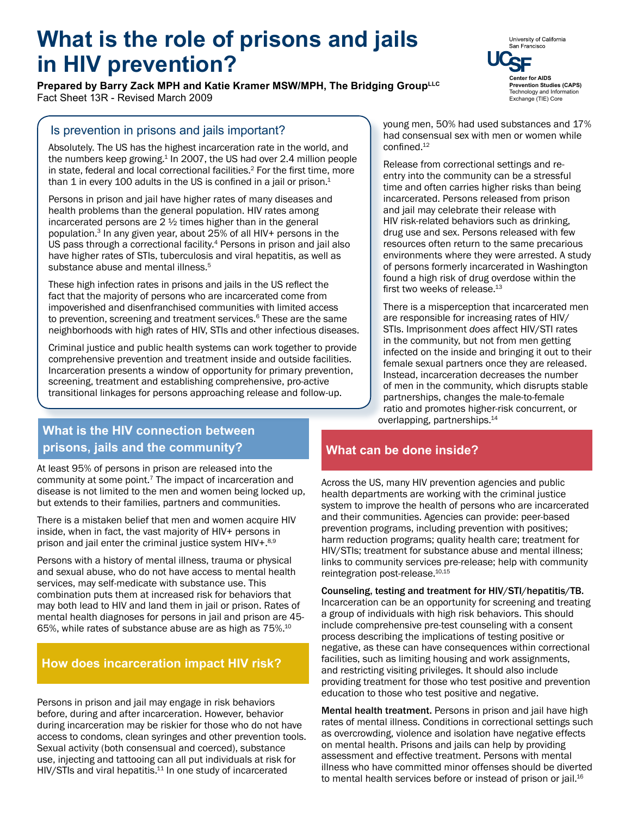# **What is the role of prisons and jails in HIV prevention? Center for AIDS <b>Center** for AIDS

**Prepared by Barry Zack MPH and Katie Kramer MSW/MPH, The Bridging GroupLLC** Fact Sheet 13R - Revised March 2009

#### Is prevention in prisons and jails important?

Absolutely. The US has the highest incarceration rate in the world, and the numbers keep growing.<sup>1</sup> In 2007, the US had over 2.4 million people in state, federal and local correctional facilities.<sup>2</sup> For the first time, more than 1 in every 100 adults in the US is confined in a jail or prison. $1$ 

Persons in prison and jail have higher rates of many diseases and health problems than the general population. HIV rates among incarcerated persons are  $2 \frac{1}{2}$  times higher than in the general population.3 In any given year, about 25% of all HIV+ persons in the US pass through a correctional facility.<sup>4</sup> Persons in prison and jail also have higher rates of STIs, tuberculosis and viral hepatitis, as well as substance abuse and mental illness.<sup>5</sup>

These high infection rates in prisons and jails in the US reflect the fact that the majority of persons who are incarcerated come from impoverished and disenfranchised communities with limited access to prevention, screening and treatment services.<sup>6</sup> These are the same neighborhoods with high rates of HIV, STIs and other infectious diseases.

Criminal justice and public health systems can work together to provide comprehensive prevention and treatment inside and outside facilities. Incarceration presents a window of opportunity for primary prevention, screening, treatment and establishing comprehensive, pro-active transitional linkages for persons approaching release and follow-up.

#### young men, 50% had used substances and 17% had consensual sex with men or women while confined.<sup>12</sup>

Release from correctional settings and reentry into the community can be a stressful time and often carries higher risks than being incarcerated. Persons released from prison and jail may celebrate their release with HIV risk-related behaviors such as drinking, drug use and sex. Persons released with few resources often return to the same precarious environments where they were arrested. A study of persons formerly incarcerated in Washington found a high risk of drug overdose within the first two weeks of release.<sup>13</sup>

There is a misperception that incarcerated men are responsible for increasing rates of HIV/ STIs. Imprisonment *does* affect HIV/STI rates in the community, but not from men getting infected on the inside and bringing it out to their female sexual partners once they are released. Instead, incarceration decreases the number of men in the community, which disrupts stable partnerships, changes the male-to-female ratio and promotes higher-risk concurrent, or overlapping, partnerships.14

## **What is the HIV connection between prisons, jails and the community?**

At least 95% of persons in prison are released into the community at some point.7 The impact of incarceration and disease is not limited to the men and women being locked up, but extends to their families, partners and communities.

There is a mistaken belief that men and women acquire HIV inside, when in fact, the vast majority of HIV+ persons in prison and jail enter the criminal justice system HIV+.8,9

Persons with a history of mental illness, trauma or physical and sexual abuse, who do not have access to mental health services, may self-medicate with substance use. This combination puts them at increased risk for behaviors that may both lead to HIV and land them in jail or prison. Rates of mental health diagnoses for persons in jail and prison are 45- 65%, while rates of substance abuse are as high as 75%.10

#### **How does incarceration impact HIV risk?**

Persons in prison and jail may engage in risk behaviors before, during and after incarceration. However, behavior during incarceration may be riskier for those who do not have access to condoms, clean syringes and other prevention tools. Sexual activity (both consensual and coerced), substance use, injecting and tattooing can all put individuals at risk for HIV/STIs and viral hepatitis.<sup>11</sup> In one study of incarcerated

### **What can be done inside?**

Across the US, many HIV prevention agencies and public health departments are working with the criminal justice system to improve the health of persons who are incarcerated and their communities. Agencies can provide: peer-based prevention programs, including prevention with positives; harm reduction programs; quality health care; treatment for HIV/STIs; treatment for substance abuse and mental illness; links to community services pre-release; help with community reintegration post-release.<sup>10,15</sup>

Counseling, testing and treatment for HIV/STI/hepatitis/TB. Incarceration can be an opportunity for screening and treating a group of individuals with high risk behaviors. This should include comprehensive pre-test counseling with a consent process describing the implications of testing positive or negative, as these can have consequences within correctional facilities, such as limiting housing and work assignments, and restricting visiting privileges. It should also include providing treatment for those who test positive and prevention education to those who test positive and negative.

Mental health treatment. Persons in prison and jail have high rates of mental illness. Conditions in correctional settings such as overcrowding, violence and isolation have negative effects on mental health. Prisons and jails can help by providing assessment and effective treatment. Persons with mental illness who have committed minor offenses should be diverted to mental health services before or instead of prison or jail.<sup>16</sup>